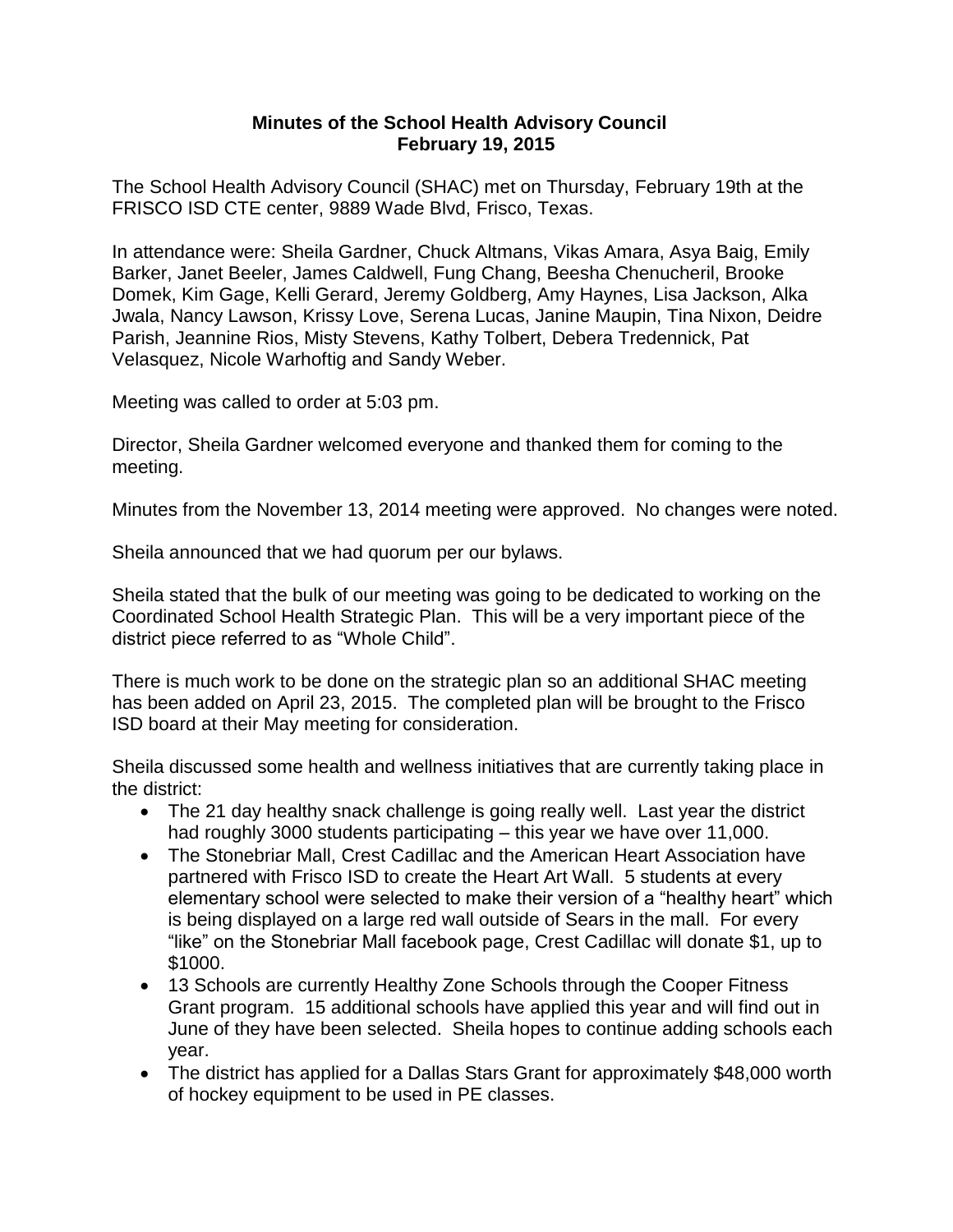## **Minutes of the School Health Advisory Council February 19, 2015**

The School Health Advisory Council (SHAC) met on Thursday, February 19th at the FRISCO ISD CTE center, 9889 Wade Blvd, Frisco, Texas.

In attendance were: Sheila Gardner, Chuck Altmans, Vikas Amara, Asya Baig, Emily Barker, Janet Beeler, James Caldwell, Fung Chang, Beesha Chenucheril, Brooke Domek, Kim Gage, Kelli Gerard, Jeremy Goldberg, Amy Haynes, Lisa Jackson, Alka Jwala, Nancy Lawson, Krissy Love, Serena Lucas, Janine Maupin, Tina Nixon, Deidre Parish, Jeannine Rios, Misty Stevens, Kathy Tolbert, Debera Tredennick, Pat Velasquez, Nicole Warhoftig and Sandy Weber.

Meeting was called to order at 5:03 pm.

Director, Sheila Gardner welcomed everyone and thanked them for coming to the meeting.

Minutes from the November 13, 2014 meeting were approved. No changes were noted.

Sheila announced that we had quorum per our bylaws.

Sheila stated that the bulk of our meeting was going to be dedicated to working on the Coordinated School Health Strategic Plan. This will be a very important piece of the district piece referred to as "Whole Child".

There is much work to be done on the strategic plan so an additional SHAC meeting has been added on April 23, 2015. The completed plan will be brought to the Frisco ISD board at their May meeting for consideration.

Sheila discussed some health and wellness initiatives that are currently taking place in the district:

- The 21 day healthy snack challenge is going really well. Last year the district had roughly 3000 students participating – this year we have over 11,000.
- The Stonebriar Mall, Crest Cadillac and the American Heart Association have partnered with Frisco ISD to create the Heart Art Wall. 5 students at every elementary school were selected to make their version of a "healthy heart" which is being displayed on a large red wall outside of Sears in the mall. For every "like" on the Stonebriar Mall facebook page, Crest Cadillac will donate \$1, up to \$1000.
- 13 Schools are currently Healthy Zone Schools through the Cooper Fitness Grant program. 15 additional schools have applied this year and will find out in June of they have been selected. Sheila hopes to continue adding schools each year.
- The district has applied for a Dallas Stars Grant for approximately \$48,000 worth of hockey equipment to be used in PE classes.